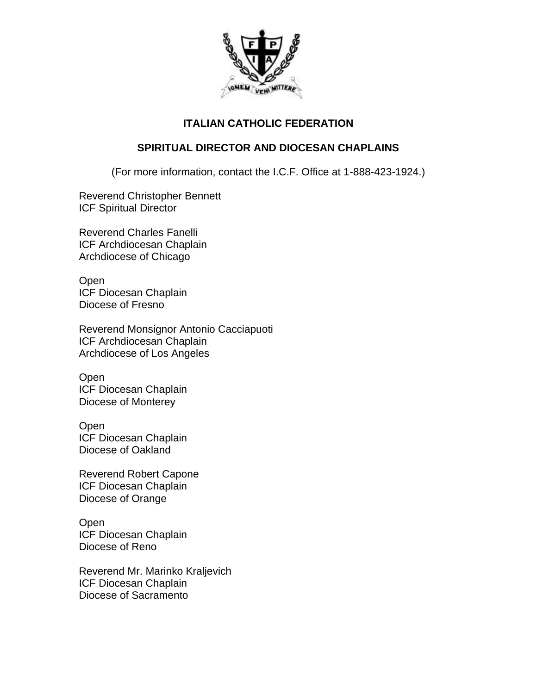

## **ITALIAN CATHOLIC FEDERATION**

## **SPIRITUAL DIRECTOR AND DIOCESAN CHAPLAINS**

(For more information, contact the I.C.F. Office at 1-888-423-1924.)

Reverend Christopher Bennett ICF Spiritual Director

Reverend Charles Fanelli ICF Archdiocesan Chaplain Archdiocese of Chicago

Open ICF Diocesan Chaplain Diocese of Fresno

Reverend Monsignor Antonio Cacciapuoti ICF Archdiocesan Chaplain Archdiocese of Los Angeles

**Open** ICF Diocesan Chaplain Diocese of Monterey

Open ICF Diocesan Chaplain Diocese of Oakland

Reverend Robert Capone ICF Diocesan Chaplain Diocese of Orange

Open ICF Diocesan Chaplain Diocese of Reno

Reverend Mr. Marinko Kraljevich ICF Diocesan Chaplain Diocese of Sacramento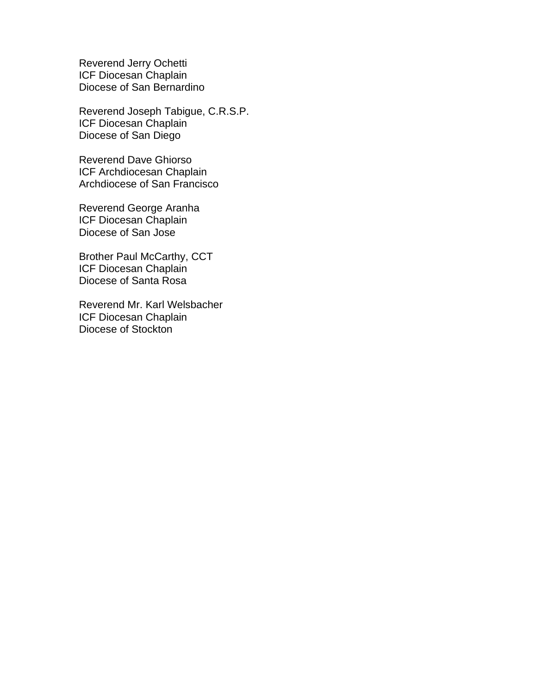Reverend Jerry Ochetti ICF Diocesan Chaplain Diocese of San Bernardino

Reverend Joseph Tabigue, C.R.S.P. ICF Diocesan Chaplain Diocese of San Diego

Reverend Dave Ghiorso ICF Archdiocesan Chaplain Archdiocese of San Francisco

Reverend George Aranha ICF Diocesan Chaplain Diocese of San Jose

Brother Paul McCarthy, CCT ICF Diocesan Chaplain Diocese of Santa Rosa

Reverend Mr. Karl Welsbacher ICF Diocesan Chaplain Diocese of Stockton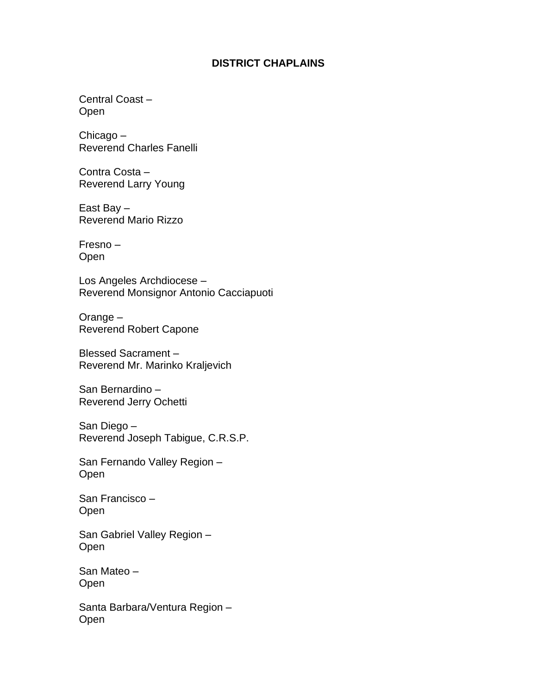## **DISTRICT CHAPLAINS**

Central Coast – Open

Chicago – Reverend Charles Fanelli

Contra Costa – Reverend Larry Young

East Bay – Reverend Mario Rizzo

Fresno – Open

Los Angeles Archdiocese – Reverend Monsignor Antonio Cacciapuoti

Orange – Reverend Robert Capone

Blessed Sacrament – Reverend Mr. Marinko Kraljevich

San Bernardino – Reverend Jerry Ochetti

San Diego – Reverend Joseph Tabigue, C.R.S.P.

San Fernando Valley Region – Open

San Francisco – Open

San Gabriel Valley Region – Open

San Mateo – **Open** 

Santa Barbara/Ventura Region – Open